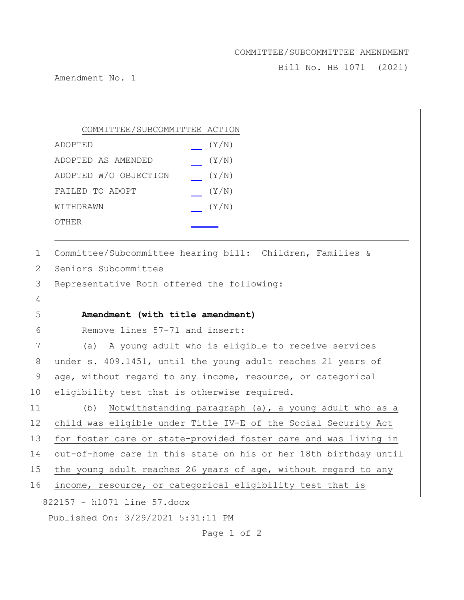## COMMITTEE/SUBCOMMITTEE AMENDMENT

Bill No. HB 1071 (2021)

Amendment No. 1

4

| COMMITTEE/SUBCOMMITTEE ACTION |       |
|-------------------------------|-------|
| ADOPTED                       | (Y/N) |
| ADOPTED AS AMENDED            | (Y/N) |
| ADOPTED W/O OBJECTION         | (Y/N) |
| FAILED TO ADOPT               | (Y/N) |
| WITHDRAWN                     | (Y/N) |
| OTHER                         |       |

1 Committee/Subcommittee hearing bill: Children, Families & 2 Seniors Subcommittee

3 Representative Roth offered the following:

## 5 **Amendment (with title amendment)**

6 Remove lines 57-71 and insert:

7 (a) A young adult who is eligible to receive services 8 under s. 409.1451, until the young adult reaches 21 years of 9 age, without regard to any income, resource, or categorical 10 eligibility test that is otherwise required.

822157 - h1071 line 57.docx 11 (b) Notwithstanding paragraph (a), a young adult who as a 12 child was eligible under Title IV-E of the Social Security Act 13 for foster care or state-provided foster care and was living in 14 out-of-home care in this state on his or her 18th birthday until 15 the young adult reaches 26 years of age, without regard to any 16 income, resource, or categorical eligibility test that is

Published On: 3/29/2021 5:31:11 PM

Page 1 of 2